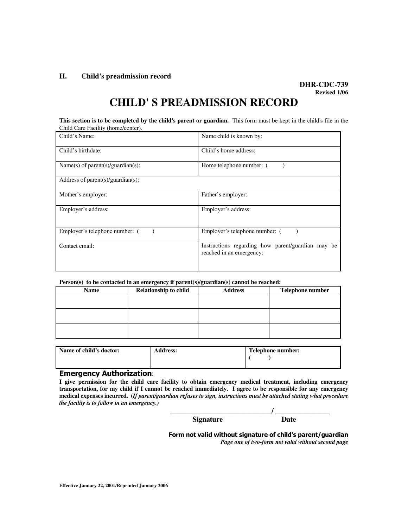#### **H. Child's preadmission record**

# **DHR-CDC-739 Revised 1/06**

# **CHILD' S PREADMISSION RECORD**

**This section is to be completed by the child's parent or guardian.** This form must be kept in the child's file in the Child Care Facility (home/center).

| Child's Name:                     | Name child is known by:                                                       |  |  |
|-----------------------------------|-------------------------------------------------------------------------------|--|--|
| Child's birthdate:                | Child's home address:                                                         |  |  |
| Name(s) of parent(s)/guardian(s): | Home telephone number: (                                                      |  |  |
| Address of parent(s)/guardian(s): |                                                                               |  |  |
| Mother's employer:                | Father's employer:                                                            |  |  |
| Employer's address:               | Employer's address:                                                           |  |  |
| Employer's telephone number: (    | Employer's telephone number: (                                                |  |  |
| Contact email:                    | Instructions regarding how parent/guardian may be<br>reached in an emergency: |  |  |

#### **Person(s) to be contacted in an emergency if parent(s)/guardian(s) cannot be reached:**

| <b>Relationship to child</b> | <b>Address</b> | Telephone number |
|------------------------------|----------------|------------------|
|                              |                |                  |
|                              |                |                  |
|                              |                |                  |
|                              |                |                  |
|                              |                |                  |
|                              |                |                  |
|                              |                |                  |

| Name of child's doctor: | <b>Address:</b> | Telephone number: |  |
|-------------------------|-----------------|-------------------|--|
|                         |                 |                   |  |
|                         |                 |                   |  |

### Emergency Authorization:

**I give permission for the child care facility to obtain emergency medical treatment, including emergency transportation, for my child if I cannot be reached immediately. I agree to be responsible for any emergency medical expenses incurred. (***If parent/guardian refuses to sign, instructions must be attached stating what procedure the facility is to follow in an emergency.)* 

| <b>Signature</b> | ם דניו |
|------------------|--------|

Form not valid without signature of child's parent/guardian *Page one of two-form not valid without second page*